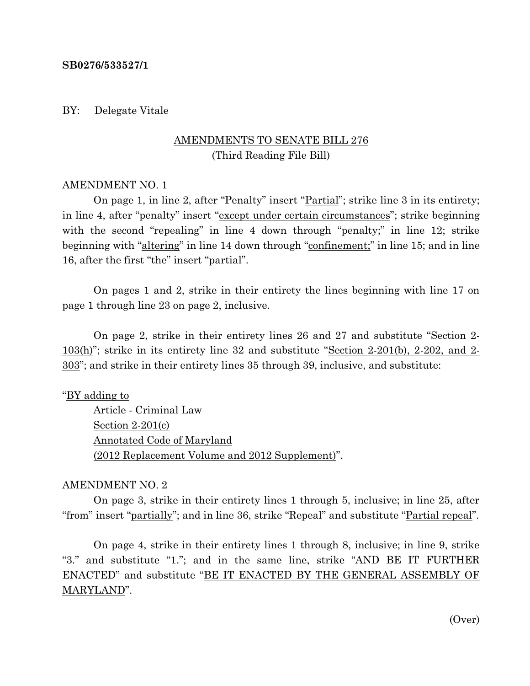#### **SB0276/533527/1**

#### BY: Delegate Vitale

# AMENDMENTS TO SENATE BILL 276 (Third Reading File Bill)

#### AMENDMENT NO. 1

On page 1, in line 2, after "Penalty" insert "<u>Partial</u>"; strike line 3 in its entirety; in line 4, after "penalty" insert "except under certain circumstances"; strike beginning with the second "repealing" in line 4 down through "penalty;" in line 12; strike beginning with "altering" in line 14 down through "confinement;" in line 15; and in line 16, after the first "the" insert "partial".

On pages 1 and 2, strike in their entirety the lines beginning with line 17 on page 1 through line 23 on page 2, inclusive.

On page 2, strike in their entirety lines 26 and 27 and substitute "Section 2- 103(h)"; strike in its entirety line 32 and substitute "Section 2-201(b), 2-202, and 2- 303"; and strike in their entirety lines 35 through 39, inclusive, and substitute:

"BY adding to

Article - Criminal Law Section 2-201(c) Annotated Code of Maryland (2012 Replacement Volume and 2012 Supplement)".

### AMENDMENT NO. 2

On page 3, strike in their entirety lines 1 through 5, inclusive; in line 25, after "from" insert "partially"; and in line 36, strike "Repeal" and substitute "Partial repeal".

On page 4, strike in their entirety lines 1 through 8, inclusive; in line 9, strike "3." and substitute " $1$ ."; and in the same line, strike "AND BE IT FURTHER ENACTED" and substitute "BE IT ENACTED BY THE GENERAL ASSEMBLY OF MARYLAND".

(Over)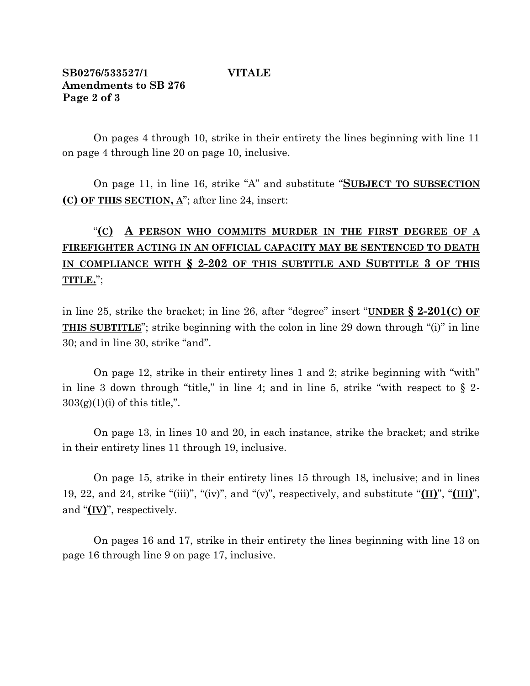## **SB0276/533527/1 VITALE Amendments to SB 276 Page 2 of 3**

On pages 4 through 10, strike in their entirety the lines beginning with line 11 on page 4 through line 20 on page 10, inclusive.

On page 11, in line 16, strike "A" and substitute "**SUBJECT TO SUBSECTION (C) OF THIS SECTION, A**"; after line 24, insert:

# "**(C) A PERSON WHO COMMITS MURDER IN THE FIRST DEGREE OF A FIREFIGHTER ACTING IN AN OFFICIAL CAPACITY MAY BE SENTENCED TO DEATH IN COMPLIANCE WITH § 2-202 OF THIS SUBTITLE AND SUBTITLE 3 OF THIS TITLE.**";

in line 25, strike the bracket; in line 26, after "degree" insert "**UNDER § 2-201(C) OF THIS SUBTITLE**"; strike beginning with the colon in line 29 down through "(i)" in line 30; and in line 30, strike "and".

On page 12, strike in their entirety lines 1 and 2; strike beginning with "with" in line 3 down through "title," in line 4; and in line 5, strike "with respect to  $\S$  2- $303(g)(1)(i)$  of this title,".

On page 13, in lines 10 and 20, in each instance, strike the bracket; and strike in their entirety lines 11 through 19, inclusive.

On page 15, strike in their entirety lines 15 through 18, inclusive; and in lines 19, 22, and 24, strike "(iii)", "(iv)", and "(v)", respectively, and substitute "**(II)**", "**(III)**", and "**(IV)**", respectively.

On pages 16 and 17, strike in their entirety the lines beginning with line 13 on page 16 through line 9 on page 17, inclusive.